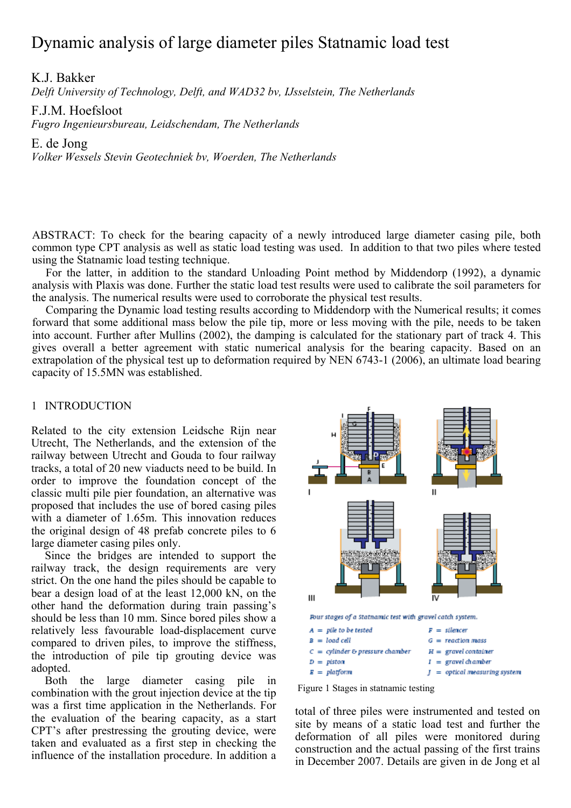# Dynamic analysis of large diameter piles Statnamic load test

K.J. Bakker

*Delft University of Technology, Delft, and WAD32 bv, IJsselstein, The Netherlands* 

F.J.M. Hoefsloot

*Fugro Ingenieursbureau, Leidschendam, The Netherlands* 

E. de Jong

*Volker Wessels Stevin Geotechniek bv, Woerden, The Netherlands* 

ABSTRACT: To check for the bearing capacity of a newly introduced large diameter casing pile, both common type CPT analysis as well as static load testing was used. In addition to that two piles where tested using the Statnamic load testing technique.

For the latter, in addition to the standard Unloading Point method by Middendorp (1992), a dynamic analysis with Plaxis was done. Further the static load test results were used to calibrate the soil parameters for the analysis. The numerical results were used to corroborate the physical test results.

Comparing the Dynamic load testing results according to Middendorp with the Numerical results; it comes forward that some additional mass below the pile tip, more or less moving with the pile, needs to be taken into account. Further after Mullins (2002), the damping is calculated for the stationary part of track 4. This gives overall a better agreement with static numerical analysis for the bearing capacity. Based on an extrapolation of the physical test up to deformation required by NEN 6743-1 (2006), an ultimate load bearing capacity of 15.5MN was established.

## 1 INTRODUCTION

Related to the city extension Leidsche Rijn near Utrecht, The Netherlands, and the extension of the railway between Utrecht and Gouda to four railway tracks, a total of 20 new viaducts need to be build. In order to improve the foundation concept of the classic multi pile pier foundation, an alternative was proposed that includes the use of bored casing piles with a diameter of 1.65m. This innovation reduces the original design of 48 prefab concrete piles to 6 large diameter casing piles only.

Since the bridges are intended to support the railway track, the design requirements are very strict. On the one hand the piles should be capable to bear a design load of at the least 12,000 kN, on the other hand the deformation during train passing's should be less than 10 mm. Since bored piles show a relatively less favourable load-displacement curve compared to driven piles, to improve the stiffness, the introduction of pile tip grouting device was adopted.

Both the large diameter casing pile in combination with the grout injection device at the tip was a first time application in the Netherlands. For the evaluation of the bearing capacity, as a start CPT's after prestressing the grouting device, were taken and evaluated as a first step in checking the influence of the installation procedure. In addition a





total of three piles were instrumented and tested on site by means of a static load test and further the deformation of all piles were monitored during construction and the actual passing of the first trains in December 2007. Details are given in de Jong et al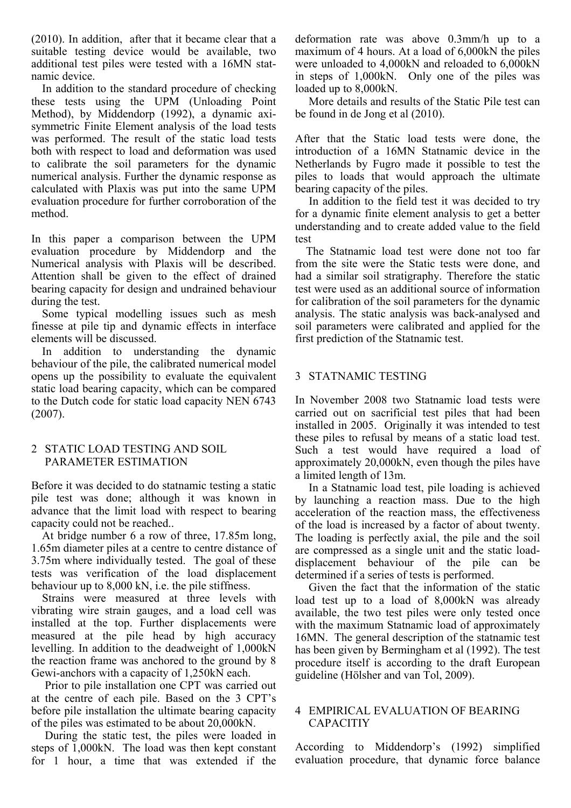(2010). In addition, after that it became clear that a suitable testing device would be available, two additional test piles were tested with a 16MN statnamic device.

In addition to the standard procedure of checking these tests using the UPM (Unloading Point Method), by Middendorp (1992), a dynamic axisymmetric Finite Element analysis of the load tests was performed. The result of the static load tests both with respect to load and deformation was used to calibrate the soil parameters for the dynamic numerical analysis. Further the dynamic response as calculated with Plaxis was put into the same UPM evaluation procedure for further corroboration of the method.

In this paper a comparison between the UPM evaluation procedure by Middendorp and the Numerical analysis with Plaxis will be described. Attention shall be given to the effect of drained bearing capacity for design and undrained behaviour during the test.

 Some typical modelling issues such as mesh finesse at pile tip and dynamic effects in interface elements will be discussed.

In addition to understanding the dynamic behaviour of the pile, the calibrated numerical model opens up the possibility to evaluate the equivalent static load bearing capacity, which can be compared to the Dutch code for static load capacity NEN 6743 (2007).

## 2 STATIC LOAD TESTING AND SOIL PARAMETER ESTIMATION

Before it was decided to do statnamic testing a static pile test was done; although it was known in advance that the limit load with respect to bearing capacity could not be reached..

At bridge number 6 a row of three, 17.85m long, 1.65m diameter piles at a centre to centre distance of 3.75m where individually tested. The goal of these tests was verification of the load displacement behaviour up to 8,000 kN, i.e. the pile stiffness.

Strains were measured at three levels with vibrating wire strain gauges, and a load cell was installed at the top. Further displacements were measured at the pile head by high accuracy levelling. In addition to the deadweight of 1,000kN the reaction frame was anchored to the ground by 8 Gewi-anchors with a capacity of 1,250kN each.

Prior to pile installation one CPT was carried out at the centre of each pile. Based on the 3 CPT's before pile installation the ultimate bearing capacity of the piles was estimated to be about 20,000kN.

During the static test, the piles were loaded in steps of 1,000kN. The load was then kept constant for 1 hour, a time that was extended if the deformation rate was above 0.3mm/h up to a maximum of 4 hours. At a load of 6,000kN the piles were unloaded to 4,000kN and reloaded to 6,000kN in steps of 1,000kN. Only one of the piles was loaded up to 8,000kN.

More details and results of the Static Pile test can be found in de Jong et al (2010).

After that the Static load tests were done, the introduction of a 16MN Statnamic device in the Netherlands by Fugro made it possible to test the piles to loads that would approach the ultimate bearing capacity of the piles.

 In addition to the field test it was decided to try for a dynamic finite element analysis to get a better understanding and to create added value to the field test

The Statnamic load test were done not too far from the site were the Static tests were done, and had a similar soil stratigraphy. Therefore the static test were used as an additional source of information for calibration of the soil parameters for the dynamic analysis. The static analysis was back-analysed and soil parameters were calibrated and applied for the first prediction of the Statnamic test.

## 3 STATNAMIC TESTING

In November 2008 two Statnamic load tests were carried out on sacrificial test piles that had been installed in 2005. Originally it was intended to test these piles to refusal by means of a static load test. Such a test would have required a load of approximately 20,000kN, even though the piles have a limited length of 13m.

In a Statnamic load test, pile loading is achieved by launching a reaction mass. Due to the high acceleration of the reaction mass, the effectiveness of the load is increased by a factor of about twenty. The loading is perfectly axial, the pile and the soil are compressed as a single unit and the static loaddisplacement behaviour of the pile can be determined if a series of tests is performed.

Given the fact that the information of the static load test up to a load of 8,000kN was already available, the two test piles were only tested once with the maximum Statnamic load of approximately 16MN. The general description of the statnamic test has been given by Bermingham et al (1992). The test procedure itself is according to the draft European guideline (Hölsher and van Tol, 2009).

## 4 EMPIRICAL EVALUATION OF BEARING CAPACITIY

According to Middendorp's (1992) simplified evaluation procedure, that dynamic force balance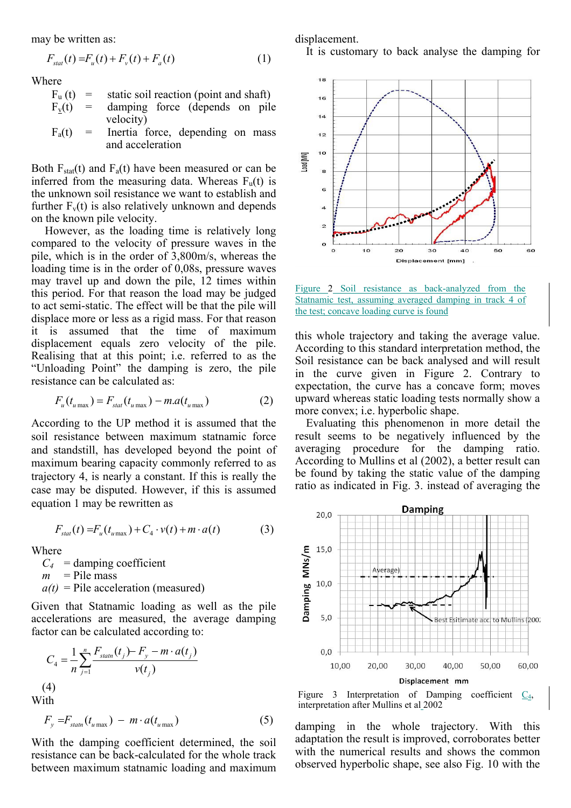may be written as:

$$
F_{\text{stat}}(t) = F_u(t) + F_v(t) + F_a(t) \tag{1}
$$

Where

- $F<sub>u</sub>(t)$  = static soil reaction (point and shaft)
- $F_v(t)$  = damping force (depends on pile velocity)
- $F_a(t)$  = Inertia force, depending on mass and acceleration

Both  $F_{stat}(t)$  and  $F_a(t)$  have been measured or can be inferred from the measuring data. Whereas  $F_u(t)$  is the unknown soil resistance we want to establish and further  $F_v(t)$  is also relatively unknown and depends on the known pile velocity.

However, as the loading time is relatively long compared to the velocity of pressure waves in the pile, which is in the order of 3,800m/s, whereas the loading time is in the order of 0,08s, pressure waves may travel up and down the pile, 12 times within this period. For that reason the load may be judged to act semi-static. The effect will be that the pile will displace more or less as a rigid mass. For that reason it is assumed that the time of maximum displacement equals zero velocity of the pile. Realising that at this point; i.e. referred to as the "Unloading Point" the damping is zero, the pile resistance can be calculated as:

$$
F_u(t_{u\max}) = F_{stat}(t_{u\max}) - m.a(t_{u\max})
$$
 (2)

According to the UP method it is assumed that the soil resistance between maximum statnamic force and standstill, has developed beyond the point of maximum bearing capacity commonly referred to as trajectory 4, is nearly a constant. If this is really the case may be disputed. However, if this is assumed equation 1 may be rewritten as

$$
F_{\text{stat}}(t) = F_u(t_{u \max}) + C_4 \cdot v(t) + m \cdot a(t) \tag{3}
$$

Where

 $C_4$  = damping coefficient  $m$  = Pile mass  $a(t)$  = Pile acceleration (measured)

Given that Statnamic loading as well as the pile accelerations are measured, the average damping factor can be calculated according to:

$$
C_4 = \frac{1}{n} \sum_{j=1}^n \frac{F_{\text{statn}}(t_j) - F_y - m \cdot a(t_j)}{v(t_j)}
$$
\n(4)\nWith

$$
F_{y} = F_{statn}(t_{u \max}) - m \cdot a(t_{u \max}) \tag{5}
$$

With the damping coefficient determined, the soil resistance can be back-calculated for the whole track between maximum statnamic loading and maximum displacement.

It is customary to back analyse the damping for



Figure 2 Soil resistance as back-analyzed from the Statnamic test, assuming averaged damping in track 4 of the test; concave loading curve is found

this whole trajectory and taking the average value. According to this standard interpretation method, the Soil resistance can be back analysed and will result in the curve given in Figure 2. Contrary to expectation, the curve has a concave form; moves upward whereas static loading tests normally show a more convex; i.e. hyperbolic shape.

 Evaluating this phenomenon in more detail the result seems to be negatively influenced by the averaging procedure for the damping ratio. According to Mullins et al (2002), a better result can be found by taking the static value of the damping ratio as indicated in Fig. 3. instead of averaging the





damping in the whole trajectory. With this adaptation the result is improved, corroborates better with the numerical results and shows the common observed hyperbolic shape, see also Fig. 10 with the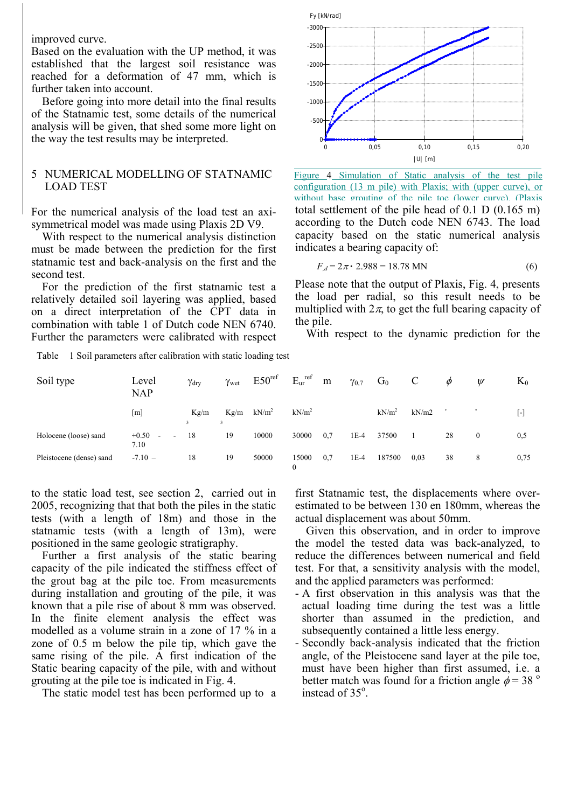improved curve.

Based on the evaluation with the UP method, it was established that the largest soil resistance was reached for a deformation of 47 mm, which is further taken into account.

Before going into more detail into the final results of the Statnamic test, some details of the numerical analysis will be given, that shed some more light on the way the test results may be interpreted.

## 5 NUMERICAL MODELLING OF STATNAMIC LOAD TEST

For the numerical analysis of the load test an axisymmetrical model was made using Plaxis 2D V9.

With respect to the numerical analysis distinction must be made between the prediction for the first statnamic test and back-analysis on the first and the second test.

For the prediction of the first statnamic test a relatively detailed soil layering was applied, based on a direct interpretation of the CPT data in combination with table 1 of Dutch code NEN 6740. Further the parameters were calibrated with respect

Table 1 Soil parameters after calibration with static loading test

| Soil type                | Level<br><b>NAP</b>                                 | $\gamma_{\rm dry}$ | $\gamma_{wet}$ | E50 <sup>ref</sup> | $E_{ur}$ <sup>ref</sup> |
|--------------------------|-----------------------------------------------------|--------------------|----------------|--------------------|-------------------------|
|                          | $\lceil m \rceil$                                   | Kg/m<br>3          | Kg/m<br>3      | kN/m <sup>2</sup>  | kN/m <sup>2</sup>       |
| Holocene (loose) sand    | $+0.50$<br>$\overline{a}$<br>$\blacksquare$<br>7.10 | 18                 | 19             | 10000              | 30000                   |
| Pleistocene (dense) sand | $-7.10 -$                                           | 18                 | 19             | 50000              | 15000                   |

to the static load test, see section 2, carried out in 2005, recognizing that that both the piles in the static tests (with a length of 18m) and those in the statnamic tests (with a length of 13m), were positioned in the same geologic stratigraphy.

 Further a first analysis of the static bearing capacity of the pile indicated the stiffness effect of the grout bag at the pile toe. From measurements during installation and grouting of the pile, it was known that a pile rise of about 8 mm was observed. In the finite element analysis the effect was modelled as a volume strain in a zone of 17 % in a zone of 0.5 m below the pile tip, which gave the same rising of the pile. A first indication of the Static bearing capacity of the pile, with and without grouting at the pile toe is indicated in Fig. 4.

The static model test has been performed up to a



total settlement of the pile head of 0.1 D (0.165 m) according to the Dutch code NEN 6743. The load capacity based on the static numerical analysis indicates a bearing capacity of: Figure 4 Simulation of Static analysis of the test pile configuration (13 m pile) with Plaxis; with (upper curve), or without base grouting of the pile toe (lower curve), (Plaxis

$$
F_{,d} = 2\pi \cdot 2.988 = 18.78 \text{ MN}
$$
 (6)

Please note that the output of Plaxis, Fig. 4, presents the load per radial, so this result needs to be multiplied with  $2\pi$ , to get the full bearing capacity of the pile.

With respect to the dynamic prediction for the

|       | $\gamma_{\rm dry}$ $\gamma_{\rm wet}$ E50 <sup>ref</sup> E <sub>ur</sub> m $\gamma_{0,7}$ G <sub>0</sub> C $\phi$ $\psi$ |  |                                 |  | $K_0$     |
|-------|--------------------------------------------------------------------------------------------------------------------------|--|---------------------------------|--|-----------|
|       | Kg/m Kg/m kN/m <sup>2</sup> kN/m <sup>2</sup>                                                                            |  | $kN/m^2$ $kN/m2$ $\sim$         |  | $[\cdot]$ |
|       | 18 19 10000 30000 0,7 1E-4 37500 1 28 0                                                                                  |  |                                 |  | 0,5       |
| 18 19 | 50000                                                                                                                    |  | 15000 0,7 1E-4 187500 0,03 38 8 |  | 0,75      |

first Statnamic test, the displacements where overestimated to be between 130 en 180mm, whereas the actual displacement was about 50mm.

Given this observation, and in order to improve the model the tested data was back-analyzed, to reduce the differences between numerical and field test. For that, a sensitivity analysis with the model, and the applied parameters was performed:

- A first observation in this analysis was that the actual loading time during the test was a little shorter than assumed in the prediction, and subsequently contained a little less energy.
- Secondly back-analysis indicated that the friction angle, of the Pleistocene sand layer at the pile toe, must have been higher than first assumed, i.e. a better match was found for a friction angle  $\phi$  = 38 <sup>o</sup> instead of 35°.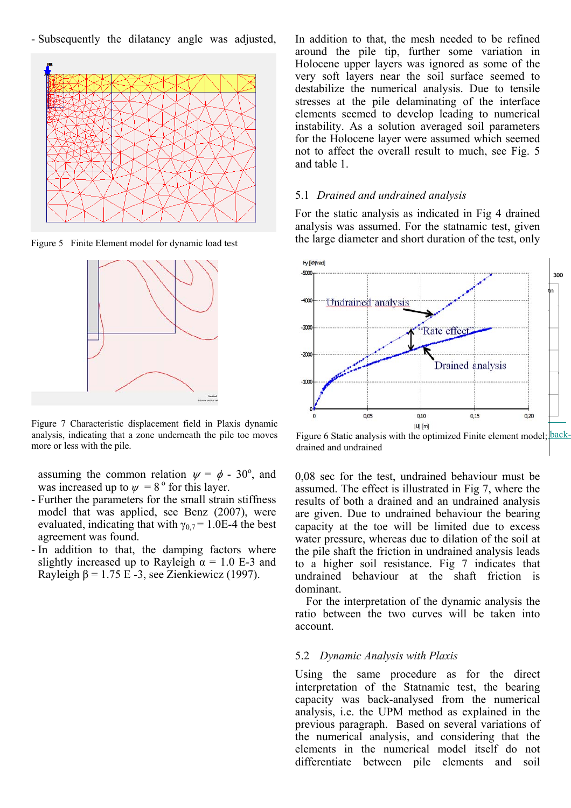- Subsequently the dilatancy angle was adjusted,



Figure 5 Finite Element model for dynamic load test



Figure 7 Characteristic displacement field in Plaxis dynamic analysis, indicating that a zone underneath the pile toe moves more or less with the pile.

assuming the common relation  $\psi = \phi - 30^{\circ}$ , and was increased up to  $\psi = 8^\circ$  for this layer.

- Further the parameters for the small strain stiffness model that was applied, see Benz (2007), were evaluated, indicating that with  $\gamma_{0.7}$  = 1.0E-4 the best agreement was found.
- In addition to that, the damping factors where slightly increased up to Rayleigh  $\alpha = 1.0$  E-3 and Rayleigh  $\beta$  = 1.75 E -3, see Zienkiewicz (1997).

In addition to that, the mesh needed to be refined around the pile tip, further some variation in Holocene upper layers was ignored as some of the very soft layers near the soil surface seemed to destabilize the numerical analysis. Due to tensile stresses at the pile delaminating of the interface elements seemed to develop leading to numerical instability. As a solution averaged soil parameters for the Holocene layer were assumed which seemed not to affect the overall result to much, see Fig. 5 and table 1.

#### 5.1 *Drained and undrained analysis*

For the static analysis as indicated in Fig 4 drained analysis was assumed. For the statnamic test, given the large diameter and short duration of the test, only



Figure 6 Static analysis with the optimized Finite element model; backdrained and undrained

0,08 sec for the test, undrained behaviour must be assumed. The effect is illustrated in Fig 7, where the results of both a drained and an undrained analysis are given. Due to undrained behaviour the bearing capacity at the toe will be limited due to excess water pressure, whereas due to dilation of the soil at the pile shaft the friction in undrained analysis leads to a higher soil resistance. Fig 7 indicates that undrained behaviour at the shaft friction is dominant.

For the interpretation of the dynamic analysis the ratio between the two curves will be taken into account.

#### 5.2 *Dynamic Analysis with Plaxis*

Using the same procedure as for the direct interpretation of the Statnamic test, the bearing capacity was back-analysed from the numerical analysis, i.e. the UPM method as explained in the previous paragraph. Based on several variations of the numerical analysis, and considering that the elements in the numerical model itself do not differentiate between pile elements and soil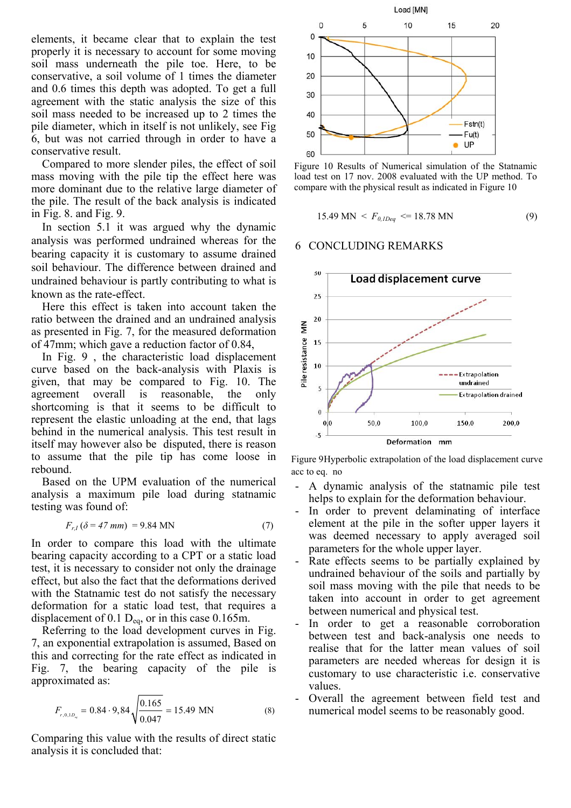elements, it became clear that to explain the test properly it is necessary to account for some moving soil mass underneath the pile toe. Here, to be conservative, a soil volume of 1 times the diameter and 0.6 times this depth was adopted. To get a full agreement with the static analysis the size of this soil mass needed to be increased up to 2 times the pile diameter, which in itself is not unlikely, see Fig 6, but was not carried through in order to have a conservative result.

Compared to more slender piles, the effect of soil mass moving with the pile tip the effect here was more dominant due to the relative large diameter of the pile. The result of the back analysis is indicated in Fig. 8. and Fig. 9.

In section 5.1 it was argued why the dynamic analysis was performed undrained whereas for the bearing capacity it is customary to assume drained soil behaviour. The difference between drained and undrained behaviour is partly contributing to what is known as the rate-effect.

Here this effect is taken into account taken the ratio between the drained and an undrained analysis as presented in Fig. 7, for the measured deformation of 47mm; which gave a reduction factor of 0.84,

In Fig. 9 , the characteristic load displacement curve based on the back-analysis with Plaxis is given, that may be compared to Fig. 10. The agreement overall is reasonable, the only shortcoming is that it seems to be difficult to represent the elastic unloading at the end, that lags behind in the numerical analysis. This test result in itself may however also be disputed, there is reason to assume that the pile tip has come loose in rebound.

Based on the UPM evaluation of the numerical analysis a maximum pile load during statnamic testing was found of:

$$
F_{r,I}(\delta = 47 \text{ mm}) = 9.84 \text{ MN}
$$
 (7)

In order to compare this load with the ultimate bearing capacity according to a CPT or a static load test, it is necessary to consider not only the drainage effect, but also the fact that the deformations derived with the Statnamic test do not satisfy the necessary deformation for a static load test, that requires a displacement of 0.1  $D_{eq}$ , or in this case 0.165m.

Referring to the load development curves in Fig. 7, an exponential extrapolation is assumed, Based on this and correcting for the rate effect as indicated in Fig. 7, the bearing capacity of the pile is approximated as:

$$
F_{r,0,1D_{eq}} = 0.84 \cdot 9,84 \sqrt{\frac{0.165}{0.047}} = 15.49 \text{ MN}
$$
 (8)

Comparing this value with the results of direct static analysis it is concluded that:



Figure 10 Results of Numerical simulation of the Statnamic load test on 17 nov. 2008 evaluated with the UP method. To compare with the physical result as indicated in Figure 10

$$
15.49 \text{ MN} < F_{0,IDeq} <= 18.78 \text{ MN} \tag{9}
$$

#### 6 CONCLUDING REMARKS



Figure 9Hyperbolic extrapolation of the load displacement curve acc to eq. no

- A dynamic analysis of the statnamic pile test helps to explain for the deformation behaviour.
- In order to prevent delaminating of interface element at the pile in the softer upper layers it was deemed necessary to apply averaged soil parameters for the whole upper layer.
- Rate effects seems to be partially explained by undrained behaviour of the soils and partially by soil mass moving with the pile that needs to be taken into account in order to get agreement between numerical and physical test.
- In order to get a reasonable corroboration between test and back-analysis one needs to realise that for the latter mean values of soil parameters are needed whereas for design it is customary to use characteristic i.e. conservative values.
- Overall the agreement between field test and numerical model seems to be reasonably good.